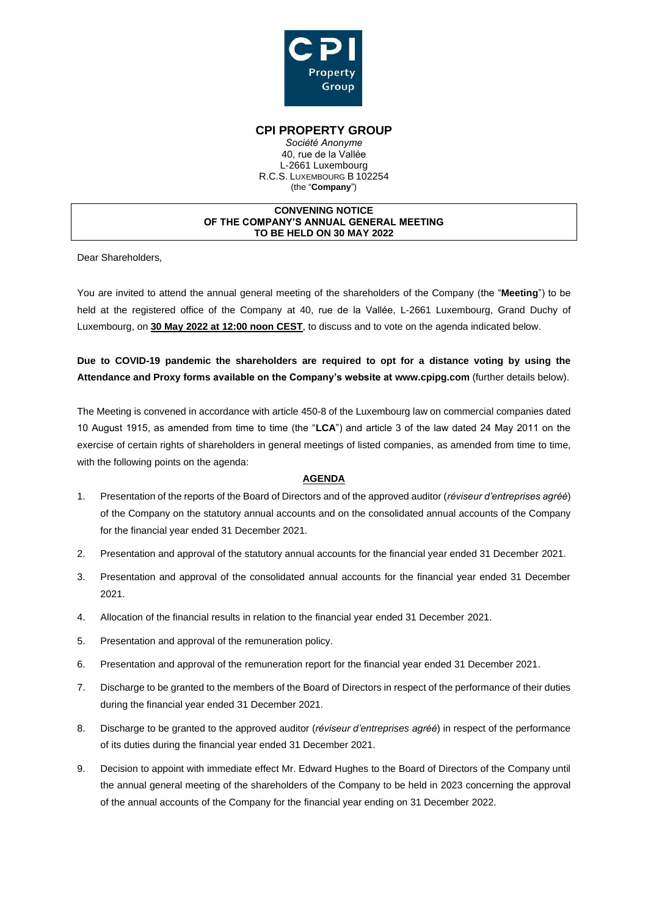

### **CPI PROPERTY GROUP**

*Société Anonyme* 40, rue de la Vallée L-2661 Luxembourg R.C.S. LUXEMBOURG B 102254 (the "**Company**")

#### **CONVENING NOTICE OF THE COMPANY'S ANNUAL GENERAL MEETING TO BE HELD ON 30 MAY 2022**

Dear Shareholders,

You are invited to attend the annual general meeting of the shareholders of the Company (the "**Meeting**") to be held at the registered office of the Company at 40, rue de la Vallée, L-2661 Luxembourg, Grand Duchy of Luxembourg, on **30 May 2022 at 12:00 noon CEST**, to discuss and to vote on the agenda indicated below.

**Due to COVID-19 pandemic the shareholders are required to opt for a distance voting by using the Attendance and Proxy forms available on the Company's website at www.cpipg.com** (further details below).

The Meeting is convened in accordance with article 450-8 of the Luxembourg law on commercial companies dated 10 August 1915, as amended from time to time (the "**LCA**") and article 3 of the law dated 24 May 2011 on the exercise of certain rights of shareholders in general meetings of listed companies, as amended from time to time, with the following points on the agenda:

### **AGENDA**

- 1. Presentation of the reports of the Board of Directors and of the approved auditor (*réviseur d'entreprises agréé*) of the Company on the statutory annual accounts and on the consolidated annual accounts of the Company for the financial year ended 31 December 2021.
- 2. Presentation and approval of the statutory annual accounts for the financial year ended 31 December 2021.
- 3. Presentation and approval of the consolidated annual accounts for the financial year ended 31 December 2021.
- 4. Allocation of the financial results in relation to the financial year ended 31 December 2021.
- 5. Presentation and approval of the remuneration policy.
- 6. Presentation and approval of the remuneration report for the financial year ended 31 December 2021.
- 7. Discharge to be granted to the members of the Board of Directors in respect of the performance of their duties during the financial year ended 31 December 2021.
- 8. Discharge to be granted to the approved auditor (*réviseur d'entreprises agréé*) in respect of the performance of its duties during the financial year ended 31 December 2021.
- 9. Decision to appoint with immediate effect Mr. Edward Hughes to the Board of Directors of the Company until the annual general meeting of the shareholders of the Company to be held in 2023 concerning the approval of the annual accounts of the Company for the financial year ending on 31 December 2022.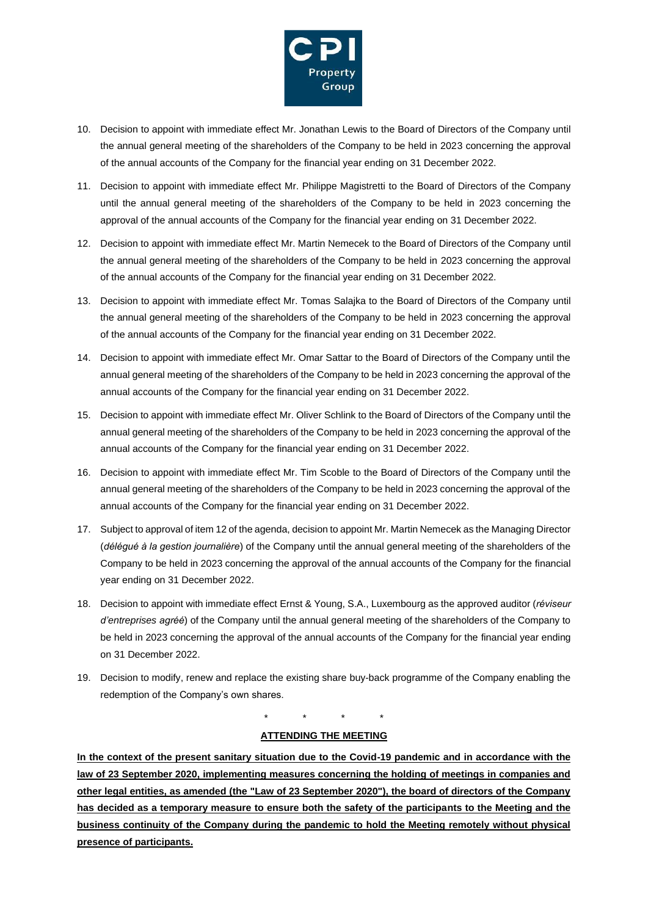

- 10. Decision to appoint with immediate effect Mr. Jonathan Lewis to the Board of Directors of the Company until the annual general meeting of the shareholders of the Company to be held in 2023 concerning the approval of the annual accounts of the Company for the financial year ending on 31 December 2022.
- 11. Decision to appoint with immediate effect Mr. Philippe Magistretti to the Board of Directors of the Company until the annual general meeting of the shareholders of the Company to be held in 2023 concerning the approval of the annual accounts of the Company for the financial year ending on 31 December 2022.
- 12. Decision to appoint with immediate effect Mr. Martin Nemecek to the Board of Directors of the Company until the annual general meeting of the shareholders of the Company to be held in 2023 concerning the approval of the annual accounts of the Company for the financial year ending on 31 December 2022.
- 13. Decision to appoint with immediate effect Mr. Tomas Salajka to the Board of Directors of the Company until the annual general meeting of the shareholders of the Company to be held in 2023 concerning the approval of the annual accounts of the Company for the financial year ending on 31 December 2022.
- 14. Decision to appoint with immediate effect Mr. Omar Sattar to the Board of Directors of the Company until the annual general meeting of the shareholders of the Company to be held in 2023 concerning the approval of the annual accounts of the Company for the financial year ending on 31 December 2022.
- 15. Decision to appoint with immediate effect Mr. Oliver Schlink to the Board of Directors of the Company until the annual general meeting of the shareholders of the Company to be held in 2023 concerning the approval of the annual accounts of the Company for the financial year ending on 31 December 2022.
- 16. Decision to appoint with immediate effect Mr. Tim Scoble to the Board of Directors of the Company until the annual general meeting of the shareholders of the Company to be held in 2023 concerning the approval of the annual accounts of the Company for the financial year ending on 31 December 2022.
- 17. Subject to approval of item 12 of the agenda, decision to appoint Mr. Martin Nemecek as the Managing Director (*délégué à la gestion journalière*) of the Company until the annual general meeting of the shareholders of the Company to be held in 2023 concerning the approval of the annual accounts of the Company for the financial year ending on 31 December 2022.
- 18. Decision to appoint with immediate effect Ernst & Young, S.A., Luxembourg as the approved auditor (*réviseur d'entreprises agréé*) of the Company until the annual general meeting of the shareholders of the Company to be held in 2023 concerning the approval of the annual accounts of the Company for the financial year ending on 31 December 2022.
- 19. Decision to modify, renew and replace the existing share buy-back programme of the Company enabling the redemption of the Company's own shares.

\* \* \* \*

### **ATTENDING THE MEETING**

**In the context of the present sanitary situation due to the Covid-19 pandemic and in accordance with the law of 23 September 2020, implementing measures concerning the holding of meetings in companies and other legal entities, as amended (the "Law of 23 September 2020"), the board of directors of the Company has decided as a temporary measure to ensure both the safety of the participants to the Meeting and the business continuity of the Company during the pandemic to hold the Meeting remotely without physical presence of participants.**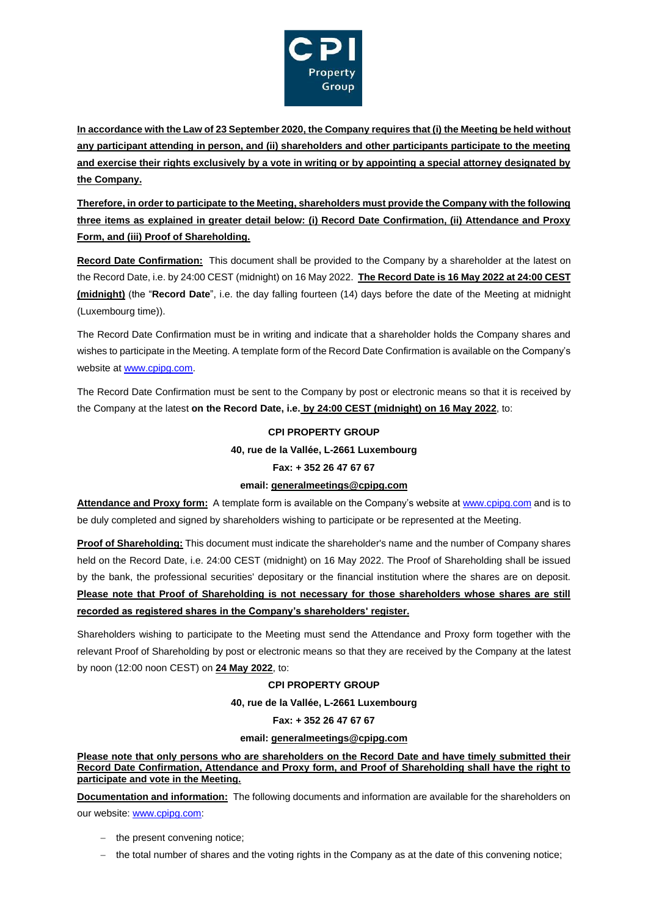

**In accordance with the Law of 23 September 2020, the Company requires that (i) the Meeting be held without any participant attending in person, and (ii) shareholders and other participants participate to the meeting and exercise their rights exclusively by a vote in writing or by appointing a special attorney designated by the Company.**

**Therefore, in order to participate to the Meeting, shareholders must provide the Company with the following three items as explained in greater detail below: (i) Record Date Confirmation, (ii) Attendance and Proxy Form, and (iii) Proof of Shareholding.** 

**Record Date Confirmation:** This document shall be provided to the Company by a shareholder at the latest on the Record Date, i.e. by 24:00 CEST (midnight) on 16 May 2022. **The Record Date is 16 May 2022 at 24:00 CEST (midnight)** (the "**Record Date**", i.e. the day falling fourteen (14) days before the date of the Meeting at midnight (Luxembourg time)).

The Record Date Confirmation must be in writing and indicate that a shareholder holds the Company shares and wishes to participate in the Meeting. A template form of the Record Date Confirmation is available on the Company's website at [www.cpip](http://www.cpi/)g.com.

The Record Date Confirmation must be sent to the Company by post or electronic means so that it is received by the Company at the latest **on the Record Date, i.e. by 24:00 CEST (midnight) on 16 May 2022**, to:

# **CPI PROPERTY GROUP**

### **40, rue de la Vallée, L-2661 Luxembourg**

### **Fax: + 352 26 47 67 67**

# **email: generalmeetings@cpipg.com**

**Attendance and Proxy form:** A template form is available on the Company's website at [www.cpipg](http://www.cpip/).com and is to be duly completed and signed by shareholders wishing to participate or be represented at the Meeting.

**Proof of Shareholding:** This document must indicate the shareholder's name and the number of Company shares held on the Record Date, i.e. 24:00 CEST (midnight) on 16 May 2022. The Proof of Shareholding shall be issued by the bank, the professional securities' depositary or the financial institution where the shares are on deposit. **Please note that Proof of Shareholding is not necessary for those shareholders whose shares are still recorded as registered shares in the Company's shareholders' register.**

Shareholders wishing to participate to the Meeting must send the Attendance and Proxy form together with the relevant Proof of Shareholding by post or electronic means so that they are received by the Company at the latest by noon (12:00 noon CEST) on **24 May 2022**, to:

# **CPI PROPERTY GROUP**

### **40, rue de la Vallée, L-2661 Luxembourg**

### **Fax: + 352 26 47 67 67**

### **email: generalmeetings@cpipg.com**

**Please note that only persons who are shareholders on the Record Date and have timely submitted their Record Date Confirmation, Attendance and Proxy form, and Proof of Shareholding shall have the right to participate and vote in the Meeting.** 

**Documentation and information:** The following documents and information are available for the shareholders on our website: [www.cpipg.com:](http://www.cpipg.com/)

- − the present convening notice;
- − the total number of shares and the voting rights in the Company as at the date of this convening notice;